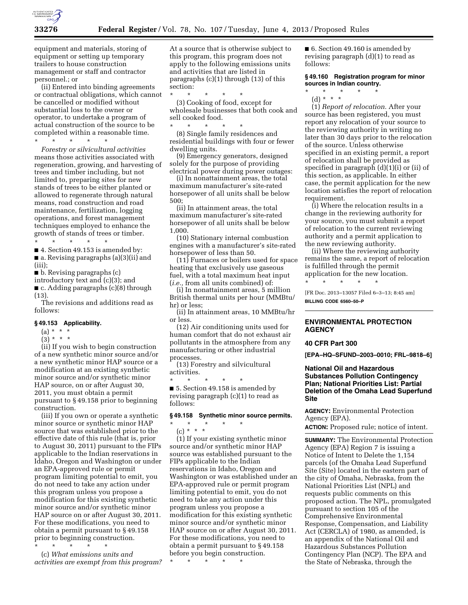

equipment and materials, storing of equipment or setting up temporary trailers to house construction management or staff and contractor personnel.; or

(ii) Entered into binding agreements or contractual obligations, which cannot be cancelled or modified without substantial loss to the owner or operator, to undertake a program of actual construction of the source to be completed within a reasonable time.

\* \* \* \* \* *Forestry or silvicultural activities*  means those activities associated with regeneration, growing, and harvesting of trees and timber including, but not limited to, preparing sites for new stands of trees to be either planted or allowed to regenerate through natural means, road construction and road maintenance, fertilization, logging operations, and forest management techniques employed to enhance the growth of stands of trees or timber.

\* \* \* \* \* ■ 4. Section 49.153 is amended by: ■ a. Revising paragraphs (a)(3)(ii) and

(iii); ■ b. Revising paragraphs (c)

introductory text and (c)(3); and

■ c. Adding paragraphs (c)(8) through (13).

The revisions and additions read as follows:

# **§ 49.153 Applicability.**

 $(a) * * * *$ 

 $(3) * * * *$ 

(ii) If you wish to begin construction of a new synthetic minor source and/or a new synthetic minor HAP source or a modification at an existing synthetic minor source and/or synthetic minor HAP source, on or after August 30, 2011, you must obtain a permit pursuant to § 49.158 prior to beginning construction.

(iii) If you own or operate a synthetic minor source or synthetic minor HAP source that was established prior to the effective date of this rule (that is, prior to August 30, 2011) pursuant to the FIPs applicable to the Indian reservations in Idaho, Oregon and Washington or under an EPA-approved rule or permit program limiting potential to emit, you do not need to take any action under this program unless you propose a modification for this existing synthetic minor source and/or synthetic minor HAP source on or after August 30, 2011. For these modifications, you need to obtain a permit pursuant to § 49.158 prior to beginning construction.

\* \* \* \* \* (c) *What emissions units and activities are exempt from this program?*  At a source that is otherwise subject to this program, this program does not apply to the following emissions units and activities that are listed in paragraphs (c)(1) through (13) of this section:

\* \* \* \* \* (3) Cooking of food, except for wholesale businesses that both cook and sell cooked food.

\* \* \* \* \* (8) Single family residences and residential buildings with four or fewer dwelling units.

(9) Emergency generators, designed solely for the purpose of providing electrical power during power outages:

(i) In nonattainment areas, the total maximum manufacturer's site-rated horsepower of all units shall be below 500;

(ii) In attainment areas, the total maximum manufacturer's site-rated horsepower of all units shall be below 1,000.

(10) Stationary internal combustion engines with a manufacturer's site-rated horsepower of less than 50.

(11) Furnaces or boilers used for space heating that exclusively use gaseous fuel, with a total maximum heat input (*i.e.,* from all units combined) of:

(i) In nonattainment areas, 5 million British thermal units per hour (MMBtu/ hr) or less;

(ii) In attainment areas, 10 MMBtu/hr or less.

(12) Air conditioning units used for human comfort that do not exhaust air pollutants in the atmosphere from any manufacturing or other industrial processes.

(13) Forestry and silvicultural activities.

\* \* \* \* \* ■ 5. Section 49.158 is amended by revising paragraph (c)(1) to read as follows:

#### **§ 49.158 Synthetic minor source permits.**

\* \* \* \* \*  $(c) * * * *$ 

(1) If your existing synthetic minor source and/or synthetic minor HAP source was established pursuant to the FIPs applicable to the Indian reservations in Idaho, Oregon and Washington or was established under an EPA-approved rule or permit program limiting potential to emit, you do not need to take any action under this program unless you propose a modification for this existing synthetic minor source and/or synthetic minor HAP source on or after August 30, 2011. For these modifications, you need to obtain a permit pursuant to § 49.158 before you begin construction.

\* \* \* \* \*

■ 6. Section 49.160 is amended by revising paragraph (d)(1) to read as follows:

## **§ 49.160 Registration program for minor sources in Indian country.**

- $*$  \*
- (d) \* \* \*

(1) *Report of relocation.* After your source has been registered, you must report any relocation of your source to the reviewing authority in writing no later than 30 days prior to the relocation of the source. Unless otherwise specified in an existing permit, a report of relocation shall be provided as specified in paragraph (d)(1)(i) or (ii) of this section, as applicable. In either case, the permit application for the new location satisfies the report of relocation requirement.

(i) Where the relocation results in a change in the reviewing authority for your source, you must submit a report of relocation to the current reviewing authority and a permit application to the new reviewing authority.

(ii) Where the reviewing authority remains the same, a report of relocation is fulfilled through the permit application for the new location.

[FR Doc. 2013–13057 Filed 6–3–13; 8:45 am] **BILLING CODE 6560–50–P** 

\* \* \* \* \*

# **ENVIRONMENTAL PROTECTION AGENCY**

# **40 CFR Part 300**

**[EPA–HQ–SFUND–2003–0010; FRL–9818–6]** 

# **National Oil and Hazardous Substances Pollution Contingency Plan; National Priorities List: Partial Deletion of the Omaha Lead Superfund Site**

**AGENCY:** Environmental Protection Agency (EPA).

**ACTION:** Proposed rule; notice of intent.

**SUMMARY:** The Environmental Protection Agency (EPA) Region 7 is issuing a Notice of Intent to Delete the 1,154 parcels (of the Omaha Lead Superfund Site (Site) located in the eastern part of the city of Omaha, Nebraska, from the National Priorities List (NPL) and requests public comments on this proposed action. The NPL, promulgated pursuant to section 105 of the Comprehensive Environmental Response, Compensation, and Liability Act (CERCLA) of 1980, as amended, is an appendix of the National Oil and Hazardous Substances Pollution Contingency Plan (NCP). The EPA and the State of Nebraska, through the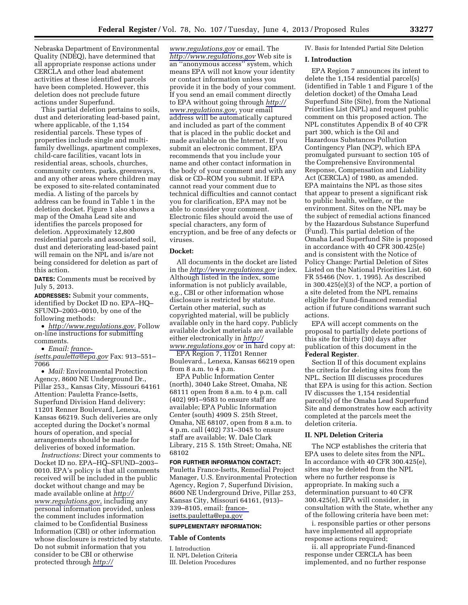Nebraska Department of Environmental Quality (NDEQ), have determined that all appropriate response actions under CERCLA and other lead abatement activities at these identified parcels have been completed. However, this deletion does not preclude future actions under Superfund.

This partial deletion pertains to soils, dust and deteriorating lead-based paint, where applicable, of the 1,154 residential parcels. These types of properties include single and multifamily dwellings, apartment complexes, child-care facilities, vacant lots in residential areas, schools, churches, community centers, parks, greenways, and any other areas where children may be exposed to site-related contaminated media. A listing of the parcels by address can be found in Table 1 in the deletion docket. Figure 1 also shows a map of the Omaha Lead site and identifies the parcels proposed for deletion. Approximately 12,800 residential parcels and associated soil, dust and deteriorating lead-based paint will remain on the NPL and is/are not being considered for deletion as part of this action.

**DATES:** Comments must be received by July 5, 2013.

**ADDRESSES:** Submit your comments, identified by Docket ID no. EPA–HQ– SFUND–2003–0010, by one of the following methods:

• *[http://www.regulations.gov.](http://www.regulations.gov)* Follow on-line instructions for submitting comments.

• *Email: [france-](mailto:france-isetts.pauletta@epa.gov)*

*[isetts.pauletta@epa.gov](mailto:france-isetts.pauletta@epa.gov)* Fax: 913–551– 7066

• *Mail:* Environmental Protection Agency, 8600 NE Underground Dr., Pillar 253,, Kansas City, Missouri 64161 Attention: Pauletta France-Isetts, Superfund Division Hand delivery: 11201 Renner Boulevard, Lenexa, Kansas 66219. Such deliveries are only accepted during the Docket's normal hours of operation, and special arrangements should be made for deliveries of boxed information.

*Instructions:* Direct your comments to Docket ID no. EPA–HQ–SFUND–2003– 0010. EPA's policy is that all comments received will be included in the public docket without change and may be made available online at *[http://](http://www.regulations.gov)  [www.regulations.gov,](http://www.regulations.gov)* including any personal information provided, unless the comment includes information claimed to be Confidential Business Information (CBI) or other information whose disclosure is restricted by statute. Do not submit information that you consider to be CBI or otherwise protected through *[http://](http://www.regulations.gov)* 

*[www.regulations.gov](http://www.regulations.gov)* or email. The *<http://www.regulations.gov>* Web site is an ''anonymous access'' system, which means EPA will not know your identity or contact information unless you provide it in the body of your comment. If you send an email comment directly to EPA without going through *[http://](http://www.regulations.gov) [www.regulations.gov,](http://www.regulations.gov)* your email address will be automatically captured and included as part of the comment that is placed in the public docket and made available on the Internet. If you submit an electronic comment, EPA recommends that you include your name and other contact information in the body of your comment and with any disk or CD–ROM you submit. If EPA cannot read your comment due to technical difficulties and cannot contact you for clarification, EPA may not be able to consider your comment. Electronic files should avoid the use of special characters, any form of encryption, and be free of any defects or viruses.

#### **Docket:**

All documents in the docket are listed in the *<http://www.regulations.gov>*index. Although listed in the index, some information is not publicly available, e.g., CBI or other information whose disclosure is restricted by statute. Certain other material, such as copyrighted material, will be publicly available only in the hard copy. Publicly available docket materials are available either electronically in *[http://](http://www.regulations.gov)* 

*[www.regulations.gov](http://www.regulations.gov)* or in hard copy at: EPA Region 7, 11201 Renner

Boulevard., Lenexa, Kansas 66219 open from 8 a.m. to 4 p.m.

EPA Public Information Center (north), 3040 Lake Street, Omaha, NE 68111 open from 8 a.m. to 4 p.m. call (402) 991–9583 to ensure staff are available; EPA Public Information Center (south) 4909 S. 25th Street, Omaha, NE 68107, open from 8 a.m. to 4 p.m. call (402) 731–3045 to ensure staff are available; W. Dale Clark Library, 215 S. 15th Street; Omaha, NE 68102

## **FOR FURTHER INFORMATION CONTACT:**

Pauletta France-Isetts, Remedial Project Manager, U.S. Environmental Protection Agency, Region 7, Superfund Division, 8600 NE Underground Drive, Pillar 253, Kansas City, Missouri 64161, (913)– 339–8105, email: [france](mailto:france-isetts.pauletta@epa.gov)[isetts.pauletta@epa.gov](mailto:france-isetts.pauletta@epa.gov) 

## **SUPPLEMENTARY INFORMATION:**

## **Table of Contents**

I. Introduction II. NPL Deletion Criteria III. Deletion Procedures

# IV. Basis for Intended Partial Site Deletion

#### **I. Introduction**

EPA Region 7 announces its intent to delete the 1,154 residential parcel(s) (identified in Table 1 and Figure 1 of the deletion docket) of the Omaha Lead Superfund Site (Site), from the National Priorities List (NPL) and request public comment on this proposed action. The NPL constitutes Appendix B of 40 CFR part 300, which is the Oil and Hazardous Substances Pollution Contingency Plan (NCP), which EPA promulgated pursuant to section 105 of the Comprehensive Environmental Response, Compensation and Liability Act (CERCLA) of 1980, as amended. EPA maintains the NPL as those sites that appear to present a significant risk to public health, welfare, or the environment. Sites on the NPL may be the subject of remedial actions financed by the Hazardous Substance Superfund (Fund). This partial deletion of the Omaha Lead Superfund Site is proposed in accordance with 40 CFR 300.425(e) and is consistent with the Notice of Policy Change: Partial Deletion of Sites Listed on the National Priorities List. 60 FR 55466 (Nov. 1, 1995). As described in 300.425(e)(3) of the NCP, a portion of a site deleted from the NPL remains eligible for Fund-financed remedial action if future conditions warrant such actions.

EPA will accept comments on the proposal to partially delete portions of this site for thirty (30) days after publication of this document in the **Federal Register**.

Section II of this document explains the criteria for deleting sites from the NPL. Section III discusses procedures that EPA is using for this action. Section IV discusses the 1,154 residential parcel(s) of the Omaha Lead Superfund Site and demonstrates how each activity completed at the parcels meet the deletion criteria.

#### **II. NPL Deletion Criteria**

The NCP establishes the criteria that EPA uses to delete sites from the NPL. In accordance with 40 CFR 300.425(e), sites may be deleted from the NPL where no further response is appropriate. In making such a determination pursuant to 40 CFR 300.425(e), EPA will consider, in consultation with the State, whether any of the following criteria have been met:

i. responsible parties or other persons have implemented all appropriate response actions required;

ii. all appropriate Fund-financed response under CERCLA has been implemented, and no further response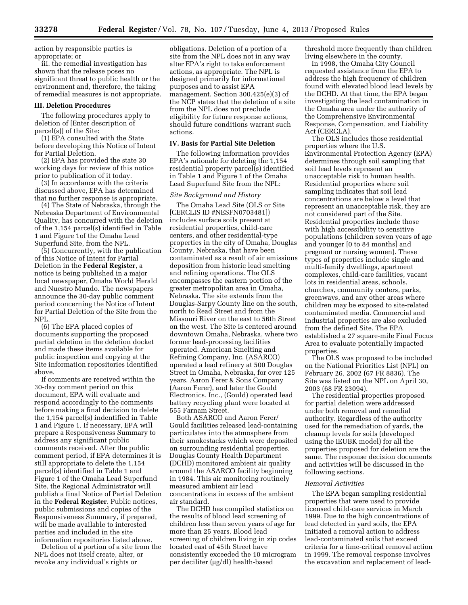action by responsible parties is appropriate; or

iii. the remedial investigation has shown that the release poses no significant threat to public health or the environment and, therefore, the taking of remedial measures is not appropriate.

#### **III. Deletion Procedures**

The following procedures apply to deletion of [Enter description of parcel(s)] of the Site:

(1) EPA consulted with the State before developing this Notice of Intent for Partial Deletion.

(2) EPA has provided the state 30 working days for review of this notice prior to publication of it today.

(3) In accordance with the criteria discussed above, EPA has determined that no further response is appropriate.

(4) The State of Nebraska, through the Nebraska Department of Environmental Quality, has concurred with the deletion of the 1,154 parcel(s) identified in Table 1 and Figure 1of the Omaha Lead Superfund Site, from the NPL.

(5) Concurrently, with the publication of this Notice of Intent for Partial Deletion in the **Federal Register**, a notice is being published in a major local newspaper, Omaha World Herald and Nuestro Mundo. The newspapers announce the 30-day public comment period concerning the Notice of Intent for Partial Deletion of the Site from the NPL.

(6) The EPA placed copies of documents supporting the proposed partial deletion in the deletion docket and made these items available for public inspection and copying at the Site information repositories identified above.

If comments are received within the 30-day comment period on this document, EPA will evaluate and respond accordingly to the comments before making a final decision to delete the 1,154 parcel(s) indentified in Table 1 and Figure 1. If necessary, EPA will prepare a Responsiveness Summary to address any significant public comments received. After the public comment period, if EPA determines it is still appropriate to delete the 1,154 parcel(s) identified in Table 1 and Figure 1 of the Omaha Lead Superfund Site, the Regional Administrator will publish a final Notice of Partial Deletion in the **Federal Register**. Public notices, public submissions and copies of the Responsiveness Summary, if prepared, will be made available to interested parties and included in the site information repositories listed above.

Deletion of a portion of a site from the NPL does not itself create, alter, or revoke any individual's rights or

obligations. Deletion of a portion of a site from the NPL does not in any way alter EPA's right to take enforcement actions, as appropriate. The NPL is designed primarily for informational purposes and to assist EPA management. Section 300.425(e)(3) of the NCP states that the deletion of a site from the NPL does not preclude eligibility for future response actions, should future conditions warrant such actions.

## **IV. Basis for Partial Site Deletion**

The following information provides EPA's rationale for deleting the 1,154 residential property parcel(s) identified in Table 1 and Figure 1 of the Omaha Lead Superfund Site from the NPL:

#### *Site Background and History*

The Omaha Lead Site (OLS or Site [CERCLIS ID #NESFN0703481]) includes surface soils present at residential properties, child-care centers, and other residential-type properties in the city of Omaha, Douglas County, Nebraska, that have been contaminated as a result of air emissions deposition from historic lead smelting and refining operations. The OLS encompasses the eastern portion of the greater metropolitan area in Omaha, Nebraska. The site extends from the Douglas-Sarpy County line on the south, north to Read Street and from the Missouri River on the east to 56th Street on the west. The Site is centered around downtown Omaha, Nebraska, where two former lead-processing facilities operated. American Smelting and Refining Company, Inc. (ASARCO) operated a lead refinery at 500 Douglas Street in Omaha, Nebraska, for over 125 years. Aaron Ferer & Sons Company (Aaron Ferer), and later the Gould Electronics, Inc., (Gould) operated lead battery recycling plant were located at 555 Farnam Street.

Both ASARCO and Aaron Ferer/ Gould facilities released lead-containing particulates into the atmosphere from their smokestacks which were deposited on surrounding residential properties. Douglas County Health Department (DCHD) monitored ambient air quality around the ASARCO facility beginning in 1984. This air monitoring routinely measured ambient air lead concentrations in excess of the ambient air standard.

The DCHD has compiled statistics on the results of blood lead screening of children less than seven years of age for more than 25 years. Blood lead screening of children living in zip codes located east of 45th Street have consistently exceeded the 10 microgram per deciliter (µg/dl) health-based

threshold more frequently than children living elsewhere in the county.

In 1998, the Omaha City Council requested assistance from the EPA to address the high frequency of children found with elevated blood lead levels by the DCHD. At that time, the EPA began investigating the lead contamination in the Omaha area under the authority of the Comprehensive Environmental Response, Compensation, and Liability Act (CERCLA).

The OLS includes those residential properties where the U.S. Environmental Protection Agency (EPA) determines through soil sampling that soil lead levels represent an unacceptable risk to human health. Residential properties where soil sampling indicates that soil lead concentrations are below a level that represent an unacceptable risk, they are not considered part of the Site. Residential properties include those with high accessibility to sensitive populations (children seven years of age and younger [0 to 84 months] and pregnant or nursing women). These types of properties include single and multi-family dwellings, apartment complexes, child-care facilities, vacant lots in residential areas, schools, churches, community centers, parks, greenways, and any other areas where children may be exposed to site-related contaminated media. Commercial and industrial properties are also excluded from the defined Site. The EPA established a 27 square-mile Final Focus Area to evaluate potentially impacted properties.

The OLS was proposed to be included on the National Priorities List (NPL) on February 26, 2002 (67 FR 8836). The Site was listed on the NPL on April 30, 2003 (68 FR 23094).

The residential properties proposed for partial deletion were addressed under both removal and remedial authority. Regardless of the authority used for the remediation of yards, the cleanup levels for soils (developed using the IEUBK model) for all the properties proposed for deletion are the same. The response decision documents and activities will be discussed in the following sections.

#### *Removal Activities*

The EPA began sampling residential properties that were used to provide licensed child-care services in March 1999. Due to the high concentrations of lead detected in yard soils, the EPA initiated a removal action to address lead-contaminated soils that exceed criteria for a time-critical removal action in 1999. The removal response involves the excavation and replacement of lead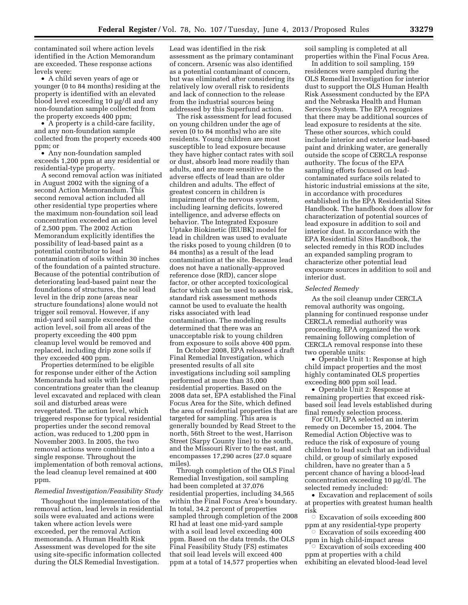contaminated soil where action levels identified in the Action Memorandum are exceeded. These response actions levels were:

• A child seven years of age or younger (0 to 84 months) residing at the property is identified with an elevated blood level exceeding 10 µg/dl and any non-foundation sample collected from the property exceeds 400 ppm;

• A property is a child-care facility, and any non-foundation sample collected from the property exceeds 400 ppm; or

• Any non-foundation sampled exceeds 1,200 ppm at any residential or residential-type property.

A second removal action was initiated in August 2002 with the signing of a second Action Memorandum. This second removal action included all other residential type properties where the maximum non-foundation soil lead concentration exceeded an action level of 2,500 ppm. The 2002 Action Memorandum explicitly identifies the possibility of lead-based paint as a potential contributor to lead contamination of soils within 30 inches of the foundation of a painted structure. Because of the potential contribution of deteriorating lead-based paint near the foundations of structures, the soil lead level in the drip zone (areas near structure foundations) alone would not trigger soil removal. However, if any mid-yard soil sample exceeded the action level, soil from all areas of the property exceeding the 400 ppm cleanup level would be removed and replaced, including drip zone soils if they exceeded 400 ppm.

Properties determined to be eligible for response under either of the Action Memoranda had soils with lead concentrations greater than the cleanup level excavated and replaced with clean soil and disturbed areas were revegetated. The action level, which triggered response for typical residential properties under the second removal action, was reduced to 1,200 ppm in November 2003. In 2005, the two removal actions were combined into a single response. Throughout the implementation of both removal actions, the lead cleanup level remained at 400 ppm.

## *Remedial Investigation/Feasibility Study*

Thoughout the implementation of the removal action, lead levels in residential soils were evaluated and actions were taken where action levels were exceeded, per the removal Action memoranda. A Human Health Risk Assessment was developed for the site using site-specific information collected during the OLS Remedial Investigation.

Lead was identified in the risk assessment as the primary contaminant of concern. Arsenic was also identified as a potential contaminant of concern, but was eliminated after considering its relatively low overall risk to residents and lack of connection to the release from the industrial sources being addressed by this Superfund action.

The risk assessment for lead focused on young children under the age of seven (0 to 84 months) who are site residents. Young children are most susceptible to lead exposure because they have higher contact rates with soil or dust, absorb lead more readily than adults, and are more sensitive to the adverse effects of lead than are older children and adults. The effect of greatest concern in children is impairment of the nervous system, including learning deficits, lowered intelligence, and adverse effects on behavior. The Integrated Exposure Uptake Biokinetic (IEUBK) model for lead in children was used to evaluate the risks posed to young children (0 to 84 months) as a result of the lead contamination at the site. Because lead does not have a nationally-approved reference dose (RfD), cancer slope factor, or other accepted toxicological factor which can be used to assess risk, standard risk assessment methods cannot be used to evaluate the health risks associated with lead contamination. The modeling results determined that there was an unacceptable risk to young children from exposure to soils above 400 ppm.

In October 2008, EPA released a draft Final Remedial Investigation, which presented results of all site investigations including soil sampling performed at more than 35,000 residential properties. Based on the 2008 data set, EPA established the Final Focus Area for the Site, which defined the area of residential properties that are targeted for sampling. This area is generally bounded by Read Street to the north, 56th Street to the west, Harrison Street (Sarpy County line) to the south, and the Missouri River to the east, and encompasses 17,290 acres (27.0 square miles).

Through completion of the OLS Final Remedial Investigation, soil sampling had been completed at 37,076 residential properties, including 34,565 within the Final Focus Area's boundary. In total, 34.2 percent of properties sampled through completion of the 2008 RI had at least one mid-yard sample with a soil lead level exceeding 400 ppm. Based on the data trends, the OLS Final Feasibility Study (FS) estimates that soil lead levels will exceed 400 ppm at a total of 14,577 properties when

soil sampling is completed at all properties within the Final Focus Area.

In addition to soil sampling, 159 residences were sampled during the OLS Remedial Investigation for interior dust to support the OLS Human Health Risk Assessment conducted by the EPA and the Nebraska Health and Human Services System. The EPA recognizes that there may be additional sources of lead exposure to residents at the site. These other sources, which could include interior and exterior lead-based paint and drinking water, are generally outside the scope of CERCLA response authority. The focus of the EPA sampling efforts focused on leadcontaminated surface soils related to historic industrial emissions at the site, in accordance with procedures established in the EPA Residential Sites Handbook. The handbook does allow for characterization of potential sources of lead exposure in addition to soil and interior dust. In accordance with the EPA Residential Sites Handbook, the selected remedy in this ROD includes an expanded sampling program to characterize other potential lead exposure sources in addition to soil and interior dust.

#### *Selected Remedy*

As the soil cleanup under CERCLA removal authority was ongoing, planning for continued response under CERCLA remedial authority was proceeding. EPA organized the work remaining following completion of CERCLA removal response into these two operable units:

• Operable Unit 1: Response at high child impact properties and the most highly contaminated OLS properties exceeding 800 ppm soil lead.

• Operable Unit 2: Response at remaining properties that exceed riskbased soil lead levels established during final remedy selection process.

For OU1, EPA selected an interim remedy on December 15, 2004. The Remedial Action Objective was to reduce the risk of exposure of young children to lead such that an individual child, or group of similarly exposed children, have no greater than a 5 percent chance of having a blood-lead concentration exceeding  $10 \mu g/dl$ . The selected remedy included:

• Excavation and replacement of soils at properties with greatest human health risk

 $\circ$  Excavation of soils exceeding 800 ppm at any residential-type property  $\circ$  Excavation of soils exceeding 400

ppm in high child-impact areas  $\circ$  Excavation of soils exceeding 400

ppm at properties with a child exhibiting an elevated blood-lead level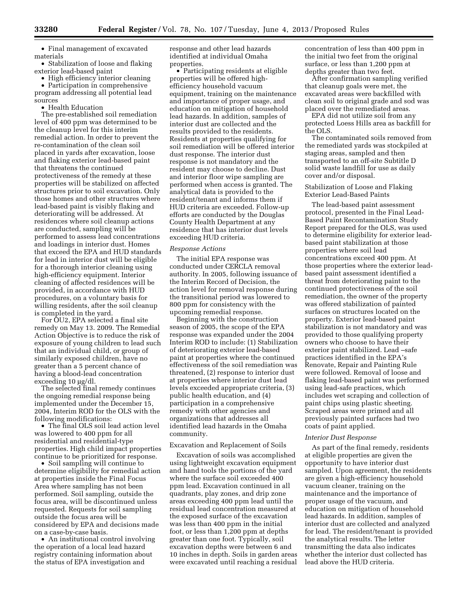• Final management of excavated materials

• Stabilization of loose and flaking exterior lead-based paint

• High efficiency interior cleaning

• Participation in comprehensive program addressing all potential lead sources

• Health Education

The pre-established soil remediation level of 400 ppm was determined to be the cleanup level for this interim remedial action. In order to prevent the re-contamination of the clean soil placed in yards after excavation, loose and flaking exterior lead-based paint that threatens the continued protectiveness of the remedy at these properties will be stabilized on affected structures prior to soil excavation. Only those homes and other structures where lead-based paint is visibly flaking and deteriorating will be addressed. At residences where soil cleanup actions are conducted, sampling will be performed to assess lead concentrations and loadings in interior dust. Homes that exceed the EPA and HUD standards for lead in interior dust will be eligible for a thorough interior cleaning using high-efficiency equipment. Interior cleaning of affected residences will be provided, in accordance with HUD procedures, on a voluntary basis for willing residents, after the soil cleanup is completed in the yard.

For OU2, EPA selected a final site remedy on May 13. 2009. The Remedial Action Objective is to reduce the risk of exposure of young children to lead such that an individual child, or group of similarly exposed children, have no greater than a 5 percent chance of having a blood-lead concentration  $exceeding 10 \mu g/dl$ .

The selected final remedy continues the ongoing remedial response being implemented under the December 15, 2004, Interim ROD for the OLS with the following modifications:

• The final OLS soil lead action level was lowered to 400 ppm for all residential and residential-type properties. High child impact properties continue to be prioritized for response.

• Soil sampling will continue to determine eligibility for remedial action at properties inside the Final Focus Area where sampling has not been performed. Soil sampling, outside the focus area, will be discontinued unless requested. Requests for soil sampling outside the focus area will be considered by EPA and decisions made on a case-by-case basis.

• An institutional control involving the operation of a local lead hazard registry containing information about the status of EPA investigation and

response and other lead hazards identified at individual Omaha properties.

• Participating residents at eligible properties will be offered highefficiency household vacuum equipment, training on the maintenance and importance of proper usage, and education on mitigation of household lead hazards. In addition, samples of interior dust are collected and the results provided to the residents. Residents at properties qualifying for soil remediation will be offered interior dust response. The interior dust response is not mandatory and the resident may choose to decline. Dust and interior floor wipe sampling are performed when access is granted. The analytical data is provided to the resident/tenant and informs them if HUD criteria are exceeded. Follow-up efforts are conducted by the Douglas County Health Department at any residence that has interior dust levels exceeding HUD criteria.

#### *Response Actions*

The initial EPA response was conducted under CERCLA removal authority. In 2005, following issuance of the Interim Record of Decision, the action level for removal response during the transitional period was lowered to 800 ppm for consistency with the upcoming remedial response.

Beginning with the construction season of 2005, the scope of the EPA response was expanded under the 2004 Interim ROD to include: (1) Stabilization of deteriorating exterior lead-based paint at properties where the continued effectiveness of the soil remediation was threatened, (2) response to interior dust at properties where interior dust lead levels exceeded appropriate criteria, (3) public health education, and (4) participation in a comprehensive remedy with other agencies and organizations that addresses all identified lead hazards in the Omaha community.

# Excavation and Replacement of Soils

Excavation of soils was accomplished using lightweight excavation equipment and hand tools the portions of the yard where the surface soil exceeded 400 ppm lead. Excavation continued in all quadrants, play zones, and drip zone areas exceeding 400 ppm lead until the residual lead concentration measured at the exposed surface of the excavation was less than 400 ppm in the initial foot, or less than 1,200 ppm at depths greater than one foot. Typically, soil excavation depths were between 6 and 10 inches in depth. Soils in garden areas were excavated until reaching a residual concentration of less than 400 ppm in the initial two feet from the original surface, or less than 1,200 ppm at depths greater than two feet.

After confirmation sampling verified that cleanup goals were met, the excavated areas were backfilled with clean soil to original grade and sod was placed over the remediated areas.

EPA did not utilize soil from any protected Loess Hills area as backfill for the OLS.

The contaminated soils removed from the remediated yards was stockpiled at staging areas, sampled and then transported to an off-site Subtitle D solid waste landfill for use as daily cover and/or disposal.

Stabilization of Loose and Flaking Exterior Lead-Based Paints

The lead-based paint assessment protocol, presented in the Final Lead-Based Paint Recontamination Study Report prepared for the OLS, was used to determine eligibility for exterior leadbased paint stabilization at those properties where soil lead concentrations exceed 400 ppm. At those properties where the exterior leadbased paint assessment identified a threat from deteriorating paint to the continued protectiveness of the soil remediation, the owner of the property was offered stabilization of painted surfaces on structures located on the property. Exterior lead-based paint stabilization is not mandatory and was provided to those qualifying property owners who choose to have their exterior paint stabilized. Lead –safe practices identified in the EPA's Renovate, Repair and Painting Rule were followed. Removal of loose and flaking lead-based paint was performed using lead-safe practices, which includes wet scraping and collection of paint chips using plastic sheeting. Scraped areas were primed and all previously painted surfaces had two coats of paint applied.

## *Interior Dust Response*

As part of the final remedy, residents at eligible properties are given the opportunity to have interior dust sampled. Upon agreement, the residents are given a high-efficiency household vacuum cleaner, training on the maintenance and the importance of proper usage of the vacuum, and education on mitigation of household lead hazards. In addition, samples of interior dust are collected and analyzed for lead. The resident/tenant is provided the analytical results. The letter transmitting the data also indicates whether the interior dust collected has lead above the HUD criteria.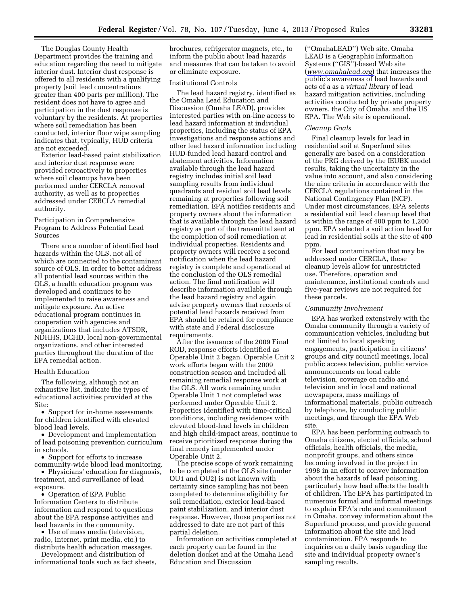The Douglas County Health Department provides the training and education regarding the need to mitigate interior dust. Interior dust response is offered to all residents with a qualifying property (soil lead concentrations greater than 400 parts per million). The resident does not have to agree and participation in the dust response is voluntary by the residents. At properties where soil remediation has been conducted, interior floor wipe sampling indicates that, typically, HUD criteria are not exceeded.

Exterior lead-based paint stabilization and interior dust response were provided retroactively to properties where soil cleanups have been performed under CERCLA removal authority, as well as to properties addressed under CERCLA remedial authority.

Participation in Comprehensive Program to Address Potential Lead Sources

There are a number of identified lead hazards within the OLS, not all of which are connected to the contaminant source of OLS. In order to better address all potential lead sources within the OLS, a health education program was developed and continues to be implemented to raise awareness and mitigate exposure. An active educational program continues in cooperation with agencies and organizations that includes ATSDR, NDHHS, DCHD, local non-governmental organizations, and other interested parties throughout the duration of the EPA remedial action.

#### Health Education

The following, although not an exhaustive list, indicate the types of educational activities provided at the Site:

• Support for in-home assessments for children identified with elevated blood lead levels.

• Development and implementation of lead poisoning prevention curriculum in schools.

• Support for efforts to increase community-wide blood lead monitoring.

• Physicians' education for diagnosis, treatment, and surveillance of lead exposure.

• Operation of EPA Public Information Centers to distribute information and respond to questions about the EPA response activities and lead hazards in the community.

• Use of mass media (television, radio, internet, print media, etc.) to distribute health education messages.

Development and distribution of informational tools such as fact sheets,

brochures, refrigerator magnets, etc., to inform the public about lead hazards and measures that can be taken to avoid or eliminate exposure.

## Institutional Controls

The lead hazard registry, identified as the Omaha Lead Education and Discussion (Omaha LEAD), provides interested parties with on-line access to lead hazard information at individual properties, including the status of EPA investigations and response actions and other lead hazard information including HUD-funded lead hazard control and abatement activities. Information available through the lead hazard registry includes initial soil lead sampling results from individual quadrants and residual soil lead levels remaining at properties following soil remediation. EPA notifies residents and property owners about the information that is available through the lead hazard registry as part of the transmittal sent at the completion of soil remediation at individual properties. Residents and property owners will receive a second notification when the lead hazard registry is complete and operational at the conclusion of the OLS remedial action. The final notification will describe information available through the lead hazard registry and again advise property owners that records of potential lead hazards received from EPA should be retained for compliance with state and Federal disclosure requirements.

After the issuance of the 2009 Final ROD, response efforts identified as Operable Unit 2 began. Operable Unit 2 work efforts began with the 2009 construction season and included all remaining remedial response work at the OLS. All work remaining under Operable Unit 1 not completed was performed under Operable Unit 2. Properties identified with time-critical conditions, including residences with elevated blood-lead levels in children and high child-impact areas, continue to receive prioritized response during the final remedy implemented under Operable Unit 2.

The precise scope of work remaining to be completed at the OLS site (under OU1 and OU2) is not known with certainty since sampling has not been completed to determine eligibility for soil remediation, exterior lead-based paint stabilization, and interior dust response. However, those properties not addressed to date are not part of this partial deletion.

Information on activities completed at each property can be found in the deletion docket and at the Omaha Lead Education and Discussion

(''OmahaLEAD'') Web site. Omaha LEAD is a Geographic Information Systems (''GIS'')-based Web site (*[www.omahalead.org](http://www.omahalead.org)*) that increases the public's awareness of lead hazards and acts of a as a *virtual library* of lead hazard mitigation activities, including activities conducted by private property owners, the City of Omaha, and the US EPA. The Web site is operational.

## *Cleanup Goals*

Final cleanup levels for lead in residential soil at Superfund sites generally are based on a consideration of the PRG derived by the IEUBK model results, taking the uncertainty in the value into account, and also considering the nine criteria in accordance with the CERCLA regulations contained in the National Contingency Plan (NCP). Under most circumstances, EPA selects a residential soil lead cleanup level that is within the range of 400 ppm to 1,200 ppm. EPA selected a soil action level for lead in residential soils at the site of 400 ppm.

For lead contamination that may be addressed under CERCLA, these cleanup levels allow for unrestricted use. Therefore, operation and maintenance, institutional controls and five-year reviews are not required for these parcels.

#### *Community Involvement*

EPA has worked extensively with the Omaha community through a variety of communication vehicles, including but not limited to local speaking engagements, participation in citizens' groups and city council meetings, local public access television, public service announcements on local cable television, coverage on radio and television and in local and national newspapers, mass mailings of informational materials, public outreach by telephone, by conducting public meetings, and through the EPA Web site.

EPA has been performing outreach to Omaha citizens, elected officials, school officials, health officials, the media, nonprofit groups, and others since becoming involved in the project in 1998 in an effort to convey information about the hazards of lead poisoning, particularly how lead affects the health of children. The EPA has participated in numerous formal and informal meetings to explain EPA's role and commitment in Omaha, convey information about the Superfund process, and provide general information about the site and lead contamination. EPA responds to inquiries on a daily basis regarding the site and individual property owner's sampling results.